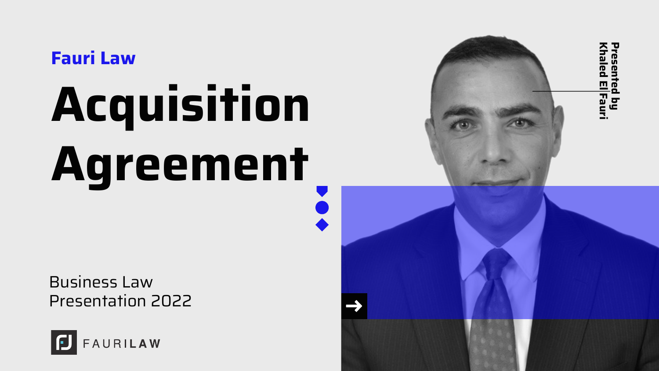Fauri Law

# Acquisition Agreement

Business Law Presentation 2022



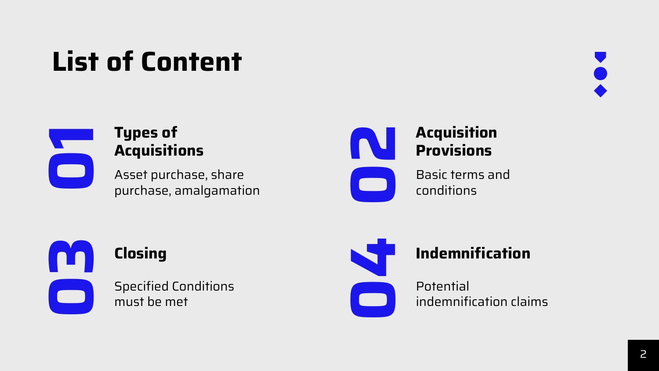### List of Content





#### Types of **Acquisitions**

Asset purchase, share purchase, amalgamation



Basic terms and conditions



Specified Conditions must be met

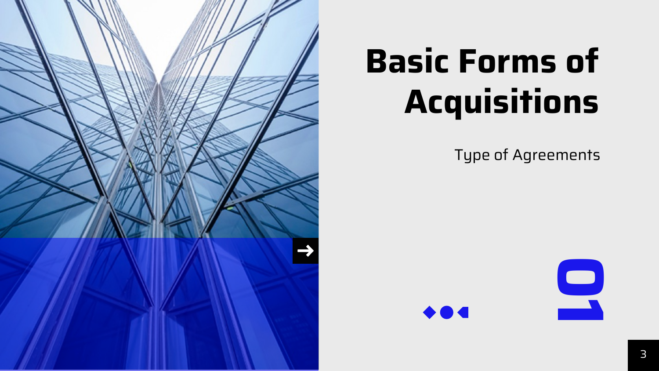

## Basic Forms of **Acquisitions**

Type of Agreements

9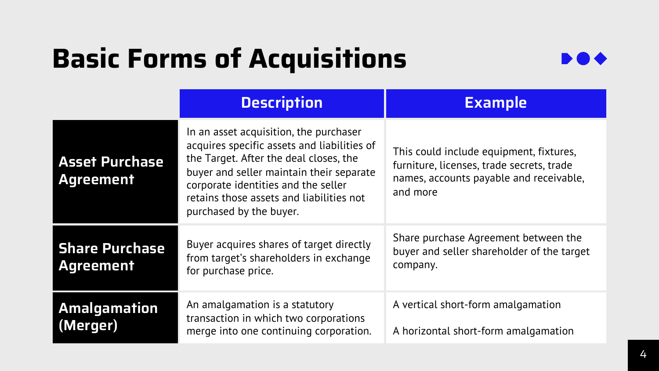### Basic Forms of Acquisitions



|                                           | <b>Description</b>                                                                                                                                                                                                                                                                        | <b>Example</b>                                                                                                                              |
|-------------------------------------------|-------------------------------------------------------------------------------------------------------------------------------------------------------------------------------------------------------------------------------------------------------------------------------------------|---------------------------------------------------------------------------------------------------------------------------------------------|
| <b>Asset Purchase</b><br>Agreement        | In an asset acquisition, the purchaser<br>acquires specific assets and liabilities of<br>the Target. After the deal closes, the<br>buyer and seller maintain their separate<br>corporate identities and the seller<br>retains those assets and liabilities not<br>purchased by the buyer. | This could include equipment, fixtures,<br>furniture, licenses, trade secrets, trade<br>names, accounts payable and receivable,<br>and more |
| <b>Share Purchase</b><br><b>Agreement</b> | Buyer acquires shares of target directly<br>from target's shareholders in exchange<br>for purchase price.                                                                                                                                                                                 | Share purchase Agreement between the<br>buyer and seller shareholder of the target<br>company.                                              |
| Amalgamation<br>(Merger)                  | An amalgamation is a statutory<br>transaction in which two corporations<br>merge into one continuing corporation.                                                                                                                                                                         | A vertical short-form amalgamation<br>A horizontal short-form amalgamation                                                                  |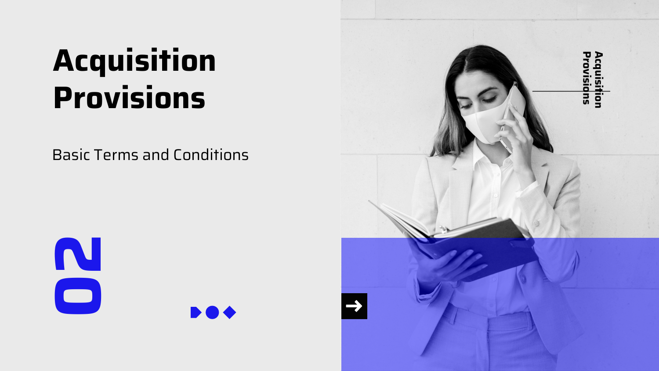### Acquisition Provisions

Basic Terms and Conditions





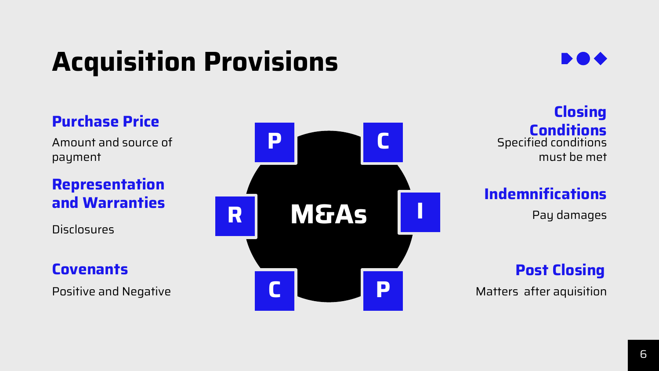### Acquisition Provisions



### Purchase Price

Amount and source of payment

Representation and Warranties

**Disclosures** 

**Covenants** 

Positive and Negative



**Closing Conditions** Specified conditions must be met

Indemnifications

Pay damages

Post Closing

Matters after aquisition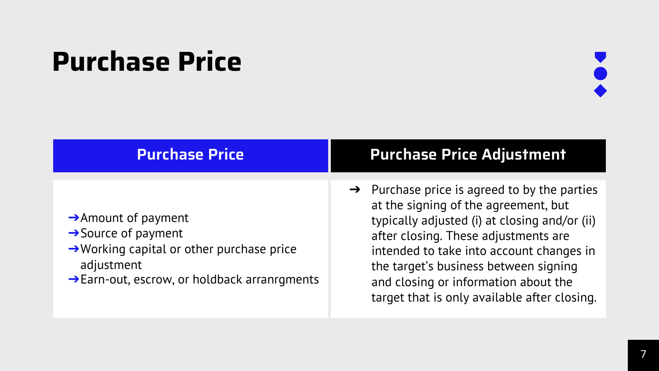### Purchase Price



| <b>Purchase Price</b>                                                                                                                                                                                 | <b>Purchase Price Adjustment</b>                                                                                                                                                                                                                                                                                                                                       |
|-------------------------------------------------------------------------------------------------------------------------------------------------------------------------------------------------------|------------------------------------------------------------------------------------------------------------------------------------------------------------------------------------------------------------------------------------------------------------------------------------------------------------------------------------------------------------------------|
|                                                                                                                                                                                                       |                                                                                                                                                                                                                                                                                                                                                                        |
| $\rightarrow$ Amount of payment<br>$\rightarrow$ Source of payment<br>$\rightarrow$ Working capital or other purchase price<br>adjustment<br>$\rightarrow$ Earn-out, escrow, or holdback arranrgments | $\rightarrow$ Purchase price is agreed to by the parties<br>at the signing of the agreement, but<br>typically adjusted (i) at closing and/or (ii)<br>after closing. These adjustments are<br>intended to take into account changes in<br>the target's business between signing<br>and closing or information about the<br>target that is only available after closing. |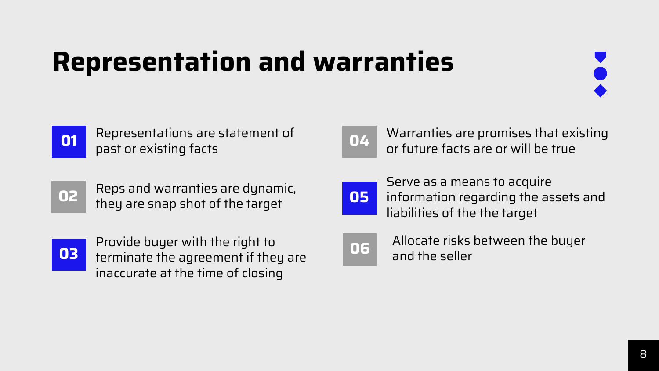### Representation and warranties





Representations are statement of past or existing facts or the presentations are statement of the contraction of the contracts are promises matter.



Reps and warranties are dynamic, they are snap shot of the target



Provide buyer with the right to terminate the agreement if they are inaccurate at the time of closing



Warranties are promises that existing



Serve as a means to acquire information regarding the assets and liabilities of the the target



Allocate risks between the buyer and the seller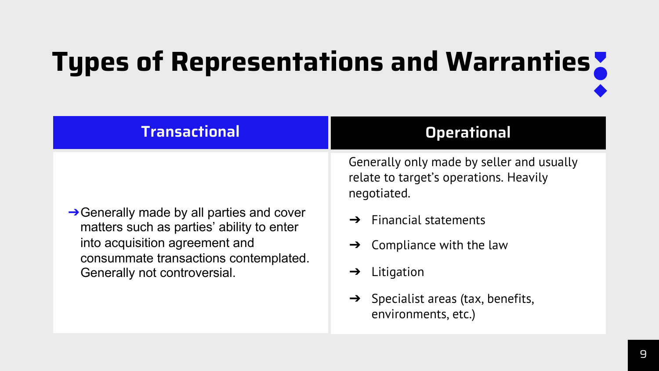# Types of Representations and Warranties

| <b>Transactional</b>                                                                                                 | <b>Operational</b>                                                                                                                       |
|----------------------------------------------------------------------------------------------------------------------|------------------------------------------------------------------------------------------------------------------------------------------|
| $\rightarrow$ Generally made by all parties and cover                                                                | Generally only made by seller and usually<br>relate to target's operations. Heavily<br>negotiated.<br>$\rightarrow$ Financial statements |
| matters such as parties' ability to enter<br>into acquisition agreement and<br>consummate transactions contemplated. | $\rightarrow$ Compliance with the law                                                                                                    |
| Generally not controversial.                                                                                         | Litigation<br>→                                                                                                                          |
|                                                                                                                      | $\rightarrow$ Specialist areas (tax, benefits,<br>environments, etc.)                                                                    |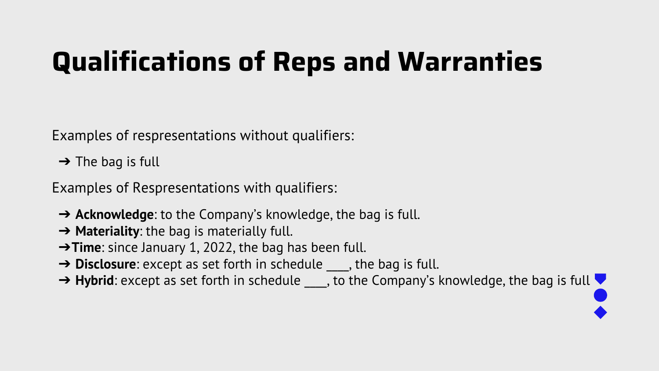### Qualifications of Reps and Warranties

Examples of respresentations without qualifiers:

 $\rightarrow$  The bag is full

Examples of Respresentations with qualifiers:

- ➔ **Acknowledge**: to the Company's knowledge, the bag is full.
- ➔ **Materiality**: the bag is materially full.
- ➔**Time**: since January 1, 2022, the bag has been full.
- → **Disclosure**: except as set forth in schedule <sub>\_\_\_\_</sub>, the bag is full.
- → Hybrid: except as set forth in schedule <sub>\_\_\_\_</sub>, to the Company's knowledge, the bag i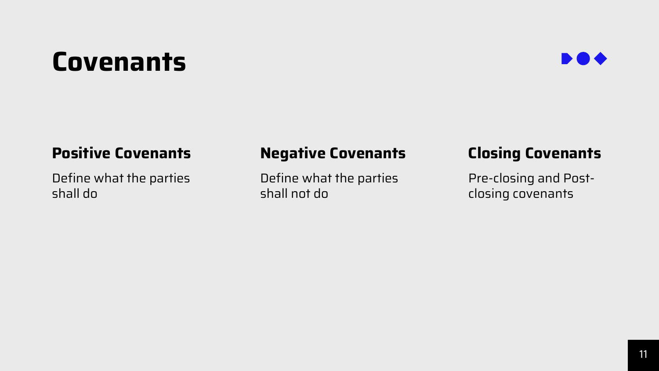### **Covenants**



#### Positive Covenants Negative Covenants

Define what the parties shall do

Define what the parties shall not do

#### Closing Covenants

Pre-closing and Postclosing covenants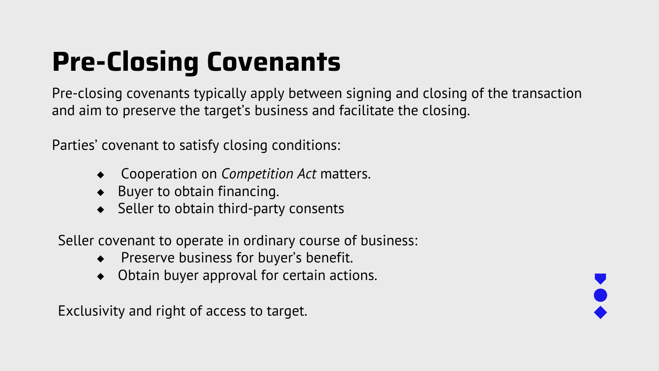### Pre-Closing Covenants

Pre-closing covenants typically apply between signing and closing of the transaction and aim to preserve the target's business and facilitate the closing.

Parties' covenant to satisfy closing conditions:

- **Cooperation on** *Competition Act* **matters.**
- ◆ Buyer to obtain financing.
- ◆ Seller to obtain third-party consents

Seller covenant to operate in ordinary course of business:

- ◆ Preserve business for buyer's benefit.
- Obtain buyer approval for certain actions.

Exclusivity and right of access to target.

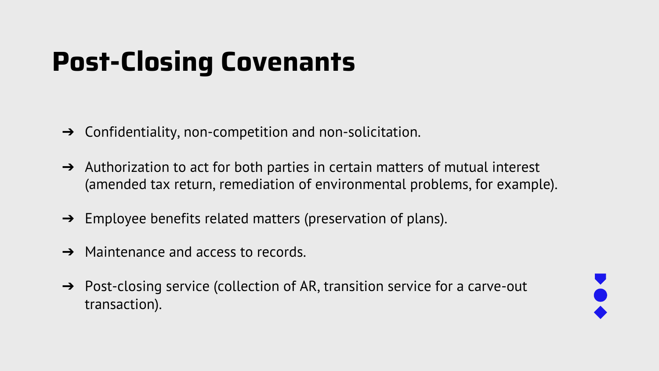### Post-Closing Covenants

- $\rightarrow$  Confidentiality, non-competition and non-solicitation.
- $\rightarrow$  Authorization to act for both parties in certain matters of mutual interest (amended tax return, remediation of environmental problems, for example).
- $\rightarrow$  Employee benefits related matters (preservation of plans).
- $\rightarrow$  Maintenance and access to records.
- → Post-closing service (collection of AR, transition service for a carve-out transaction).

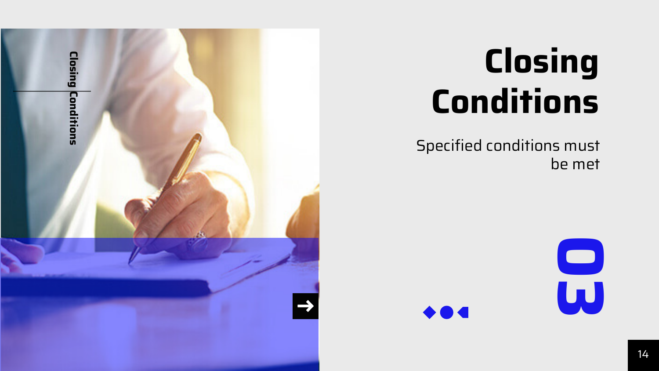

## Closing **Conditions**

Specified conditions must be met

 $\bullet$   $\bullet$   $\bullet$ 

 $\mathbf{S}$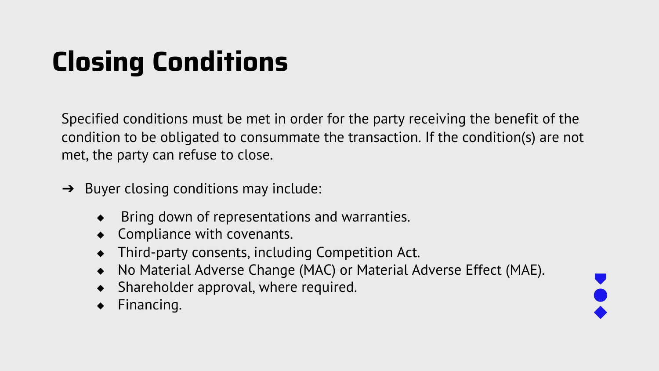### Closing Conditions

Specified conditions must be met in order for the party receiving the benefit of the condition to be obligated to consummate the transaction. If the condition(s) are not met, the party can refuse to close.

- $\rightarrow$  Buyer closing conditions may include:
	- Bring down of representations and warranties.
	- ◆ Compliance with covenants.
	- Third-party consents, including Competition Act.
	- No Material Adverse Change (MAC) or Material Adverse Effect (MAE).
	- Shareholder approval, where required.
	- Financing.

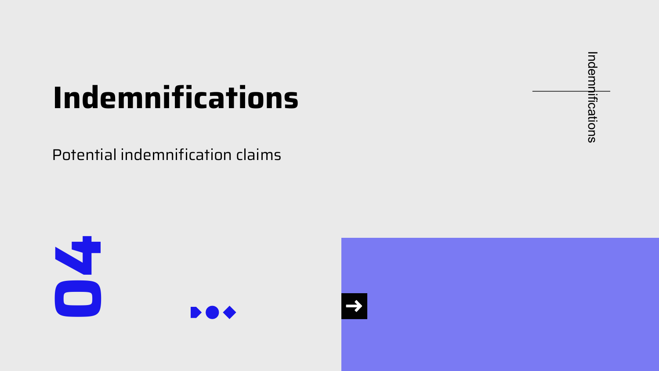### Indemnifications

Potential indemnification claims

Indemnifications Indemnifications



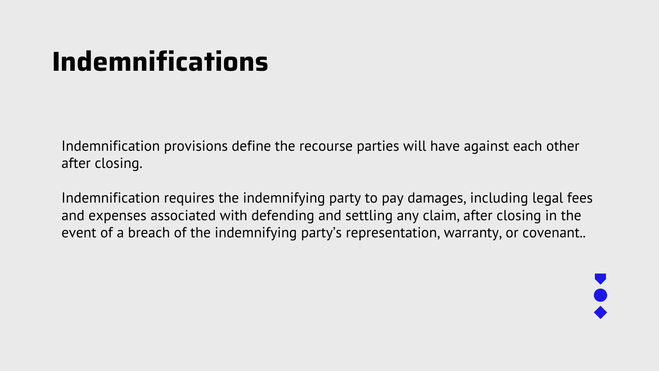### Indemnifications

Indemnification provisions define the recourse parties will have against each other after closing.

Indemnification requires the indemnifying party to pay damages, including legal fees and expenses associated with defending and settling any claim, after closing in the event of a breach of the indemnifying party's representation, warranty, or covenant..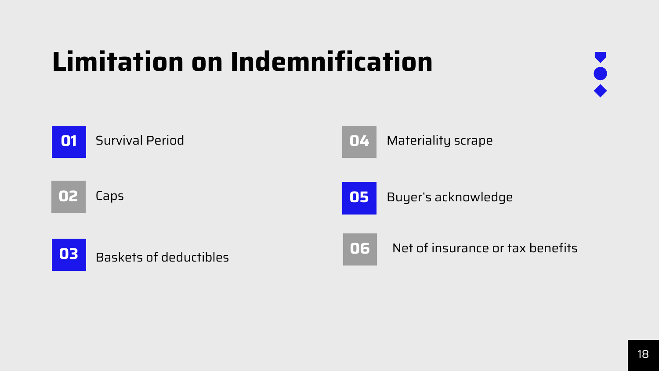### Limitation on Indemnification



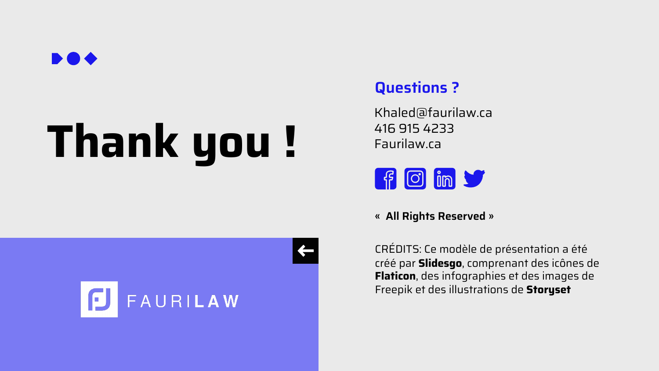

# Thank you !



### Questions ?

Khaled@faurilaw.ca 416 915 4233 Faurilaw.ca



« All Rights Reserved »

 $\leftarrow$ 

CRÉDITS: Ce modèle de présentation créé par **Slidesgo**, comprenant des ic Flaticon, des infographies et des ima Freepik et des illustrations de Storys